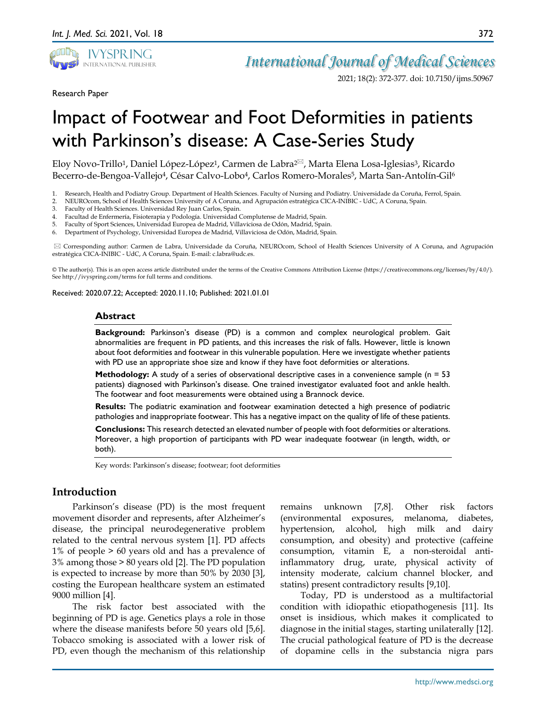

*International Journal of Medical Sciences*

2021; 18(2): 372-377. doi: 10.7150/ijms.50967

Research Paper

Eloy Novo-Trillo<sup>1</sup>, Daniel López-López<sup>1</sup>, Carmen de Labra<sup>2⊠</sup>, Marta Elena Losa-Iglesias<sup>3</sup>, Ricardo Becerro-de-Bengoa-Vallejo<sup>4</sup>, César Calvo-Lobo<sup>4</sup>, Carlos Romero-Morales<sup>5</sup>, Marta San-Antolín-Gil<sup>6</sup>

- 1. Research, Health and Podiatry Group. Department of Health Sciences. Faculty of Nursing and Podiatry. Universidade da Coruña, Ferrol, Spain.
- 2. NEUROcom, School of Health Sciences University of A Coruna, and Agrupación estratégica CICA-INIBIC UdC, A Coruna, Spain.
- 3. Faculty of Health Sciences. Universidad Rey Juan Carlos, Spain.<br>4. Facultad de Enfermería. Fisioterapia y Podología. Universidad C
- 4. Facultad de Enfermería, Fisioterapia y Podología. Universidad Complutense de Madrid, Spain.
- 5. Faculty of Sport Sciences, Universidad Europea de Madrid, Villaviciosa de Odón, Madrid, Spain.
- 6. Department of Psychology, Universidad Europea de Madrid, Villaviciosa de Odón, Madrid, Spain.

 Corresponding author: Carmen de Labra, Universidade da Coruña, NEUROcom, School of Health Sciences University of A Coruna, and Agrupación estratégica CICA-INIBIC - UdC, A Coruna, Spain. E-mail: c.labra@udc.es.

© The author(s). This is an open access article distributed under the terms of the Creative Commons Attribution License (https://creativecommons.org/licenses/by/4.0/). See http://ivyspring.com/terms for full terms and conditions.

Received: 2020.07.22; Accepted: 2020.11.10; Published: 2021.01.01

#### **Abstract**

**Background:** Parkinson's disease (PD) is a common and complex neurological problem. Gait abnormalities are frequent in PD patients, and this increases the risk of falls. However, little is known about foot deformities and footwear in this vulnerable population. Here we investigate whether patients with PD use an appropriate shoe size and know if they have foot deformities or alterations.

**Methodology:** A study of a series of observational descriptive cases in a convenience sample (n = 53) patients) diagnosed with Parkinson's disease. One trained investigator evaluated foot and ankle health. The footwear and foot measurements were obtained using a Brannock device.

**Results:** The podiatric examination and footwear examination detected a high presence of podiatric pathologies and inappropriate footwear. This has a negative impact on the quality of life of these patients.

**Conclusions:** This research detected an elevated number of people with foot deformities or alterations. Moreover, a high proportion of participants with PD wear inadequate footwear (in length, width, or both).

Key words: Parkinson's disease; footwear; foot deformities

## **Introduction**

Parkinson's disease (PD) is the most frequent movement disorder and represents, after Alzheimer's disease, the principal neurodegenerative problem related to the central nervous system [1]. PD affects 1% of people > 60 years old and has a prevalence of 3% among those > 80 years old [2]. The PD population is expected to increase by more than 50% by 2030 [3], costing the European healthcare system an estimated 9000 million [4].

The risk factor best associated with the beginning of PD is age. Genetics plays a role in those where the disease manifests before 50 years old [5,6]. Tobacco smoking is associated with a lower risk of PD, even though the mechanism of this relationship

remains unknown [7,8]. Other risk factors (environmental exposures, melanoma, diabetes, hypertension, alcohol, high milk and dairy consumption, and obesity) and protective (caffeine consumption, vitamin E, a non-steroidal antiinflammatory drug, urate, physical activity of intensity moderate, calcium channel blocker, and statins) present contradictory results [9,10].

Today, PD is understood as a multifactorial condition with idiopathic etiopathogenesis [11]. Its onset is insidious, which makes it complicated to diagnose in the initial stages, starting unilaterally [12]. The crucial pathological feature of PD is the decrease of dopamine cells in the substancia nigra pars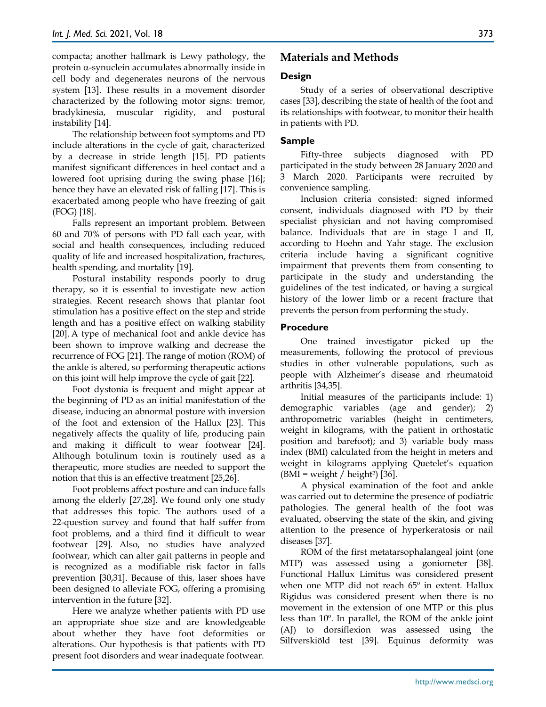compacta; another hallmark is Lewy pathology, the protein α-synuclein accumulates abnormally inside in cell body and degenerates neurons of the nervous system [13]. These results in a movement disorder characterized by the following motor signs: tremor, bradykinesia, muscular rigidity, and postural instability [14].

The relationship between foot symptoms and PD include alterations in the cycle of gait, characterized by a decrease in stride length [15]. PD patients manifest significant differences in heel contact and a lowered foot uprising during the swing phase [16]; hence they have an elevated risk of falling [17]. This is exacerbated among people who have freezing of gait (FOG) [18].

Falls represent an important problem. Between 60 and 70% of persons with PD fall each year, with social and health consequences, including reduced quality of life and increased hospitalization, fractures, health spending, and mortality [19].

Postural instability responds poorly to drug therapy, so it is essential to investigate new action strategies. Recent research shows that plantar foot stimulation has a positive effect on the step and stride length and has a positive effect on walking stability [20]. A type of mechanical foot and ankle device has been shown to improve walking and decrease the recurrence of FOG [21]. The range of motion (ROM) of the ankle is altered, so performing therapeutic actions on this joint will help improve the cycle of gait [22].

Foot dystonia is frequent and might appear at the beginning of PD as an initial manifestation of the disease, inducing an abnormal posture with inversion of the foot and extension of the Hallux [23]. This negatively affects the quality of life, producing pain and making it difficult to wear footwear [24]. Although botulinum toxin is routinely used as a therapeutic, more studies are needed to support the notion that this is an effective treatment [25,26].

Foot problems affect posture and can induce falls among the elderly [27,28]. We found only one study that addresses this topic. The authors used of a 22-question survey and found that half suffer from foot problems, and a third find it difficult to wear footwear [29]. Also, no studies have analyzed footwear, which can alter gait patterns in people and is recognized as a modifiable risk factor in falls prevention [30,31]. Because of this, laser shoes have been designed to alleviate FOG, offering a promising intervention in the future [32].

Here we analyze whether patients with PD use an appropriate shoe size and are knowledgeable about whether they have foot deformities or alterations. Our hypothesis is that patients with PD present foot disorders and wear inadequate footwear.

# **Materials and Methods**

## **Design**

Study of a series of observational descriptive cases [33], describing the state of health of the foot and its relationships with footwear, to monitor their health in patients with PD.

## **Sample**

Fifty-three subjects diagnosed with PD participated in the study between 28 January 2020 and 3 March 2020. Participants were recruited by convenience sampling.

Inclusion criteria consisted: signed informed consent, individuals diagnosed with PD by their specialist physician and not having compromised balance. Individuals that are in stage I and II, according to Hoehn and Yahr stage. The exclusion criteria include having a significant cognitive impairment that prevents them from consenting to participate in the study and understanding the guidelines of the test indicated, or having a surgical history of the lower limb or a recent fracture that prevents the person from performing the study.

## **Procedure**

One trained investigator picked up the measurements, following the protocol of previous studies in other vulnerable populations, such as people with Alzheimer's disease and rheumatoid arthritis [34,35].

Initial measures of the participants include: 1) demographic variables (age and gender); 2) anthropometric variables (height in centimeters, weight in kilograms, with the patient in orthostatic position and barefoot); and 3) variable body mass index (BMI) calculated from the height in meters and weight in kilograms applying Quetelet's equation  $(BMI = weight / height^2)$  [36].

A physical examination of the foot and ankle was carried out to determine the presence of podiatric pathologies. The general health of the foot was evaluated, observing the state of the skin, and giving attention to the presence of hyperkeratosis or nail diseases [37].

ROM of the first metatarsophalangeal joint (one MTP) was assessed using a goniometer [38]. Functional Hallux Limitus was considered present when one MTP did not reach 65º in extent. Hallux Rigidus was considered present when there is no movement in the extension of one MTP or this plus less than 10º. In parallel, the ROM of the ankle joint (AJ) to dorsiflexion was assessed using the Silfverskiöld test [39]. Equinus deformity was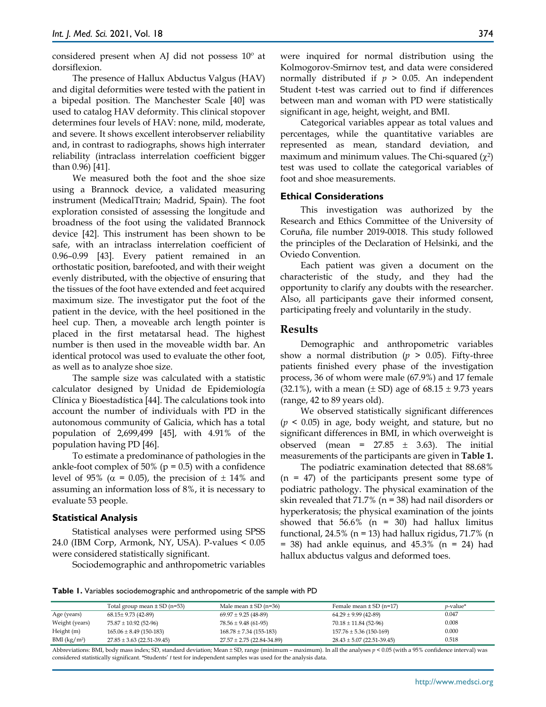considered present when AJ did not possess 10º at dorsiflexion.

The presence of Hallux Abductus Valgus (HAV) and digital deformities were tested with the patient in a bipedal position. The Manchester Scale [40] was used to catalog HAV deformity. This clinical stopover determines four levels of HAV: none, mild, moderate, and severe. It shows excellent interobserver reliability and, in contrast to radiographs, shows high interrater reliability (intraclass interrelation coefficient bigger than 0.96) [41].

We measured both the foot and the shoe size using a Brannock device, a validated measuring instrument (MedicalTtrain; Madrid, Spain). The foot exploration consisted of assessing the longitude and broadness of the foot using the validated Brannock device [42]. This instrument has been shown to be safe, with an intraclass interrelation coefficient of 0.96–0.99 [43]. Every patient remained in an orthostatic position, barefooted, and with their weight evenly distributed, with the objective of ensuring that the tissues of the foot have extended and feet acquired maximum size. The investigator put the foot of the patient in the device, with the heel positioned in the heel cup. Then, a moveable arch length pointer is placed in the first metatarsal head. The highest number is then used in the moveable width bar. An identical protocol was used to evaluate the other foot, as well as to analyze shoe size.

The sample size was calculated with a statistic calculator designed by Unidad de Epidemiología Clínica y Bioestadística [44]. The calculations took into account the number of individuals with PD in the autonomous community of Galicia, which has a total population of 2,699,499 [45], with 4.91% of the population having PD [46].

To estimate a predominance of pathologies in the ankle-foot complex of 50% ( $p = 0.5$ ) with a confidence level of 95% ( $\alpha$  = 0.05), the precision of  $\pm$  14% and assuming an information loss of 8%, it is necessary to evaluate 53 people.

#### **Statistical Analysis**

Statistical analyses were performed using SPSS 24.0 (IBM Corp, Armonk, NY, USA). P-values < 0.05 were considered statistically significant.

Sociodemographic and anthropometric variables

Categorical variables appear as total values and percentages, while the quantitative variables are represented as mean, standard deviation, and maximum and minimum values. The Chi-squared  $(\chi^2)$ test was used to collate the categorical variables of foot and shoe measurements.

### **Ethical Considerations**

This investigation was authorized by the Research and Ethics Committee of the University of Coruña, file number 2019-0018. This study followed the principles of the Declaration of Helsinki, and the Oviedo Convention.

Each patient was given a document on the characteristic of the study, and they had the opportunity to clarify any doubts with the researcher. Also, all participants gave their informed consent, participating freely and voluntarily in the study.

## **Results**

Demographic and anthropometric variables show a normal distribution ( $p > 0.05$ ). Fifty-three patients finished every phase of the investigation process, 36 of whom were male (67.9%) and 17 female (32.1%), with a mean ( $\pm$  SD) age of 68.15  $\pm$  9.73 years (range, 42 to 89 years old).

We observed statistically significant differences (*p* < 0.05) in age, body weight, and stature, but no significant differences in BMI, in which overweight is observed (mean =  $27.85 \pm 3.63$ ). The initial measurements of the participants are given in **Table 1.**

The podiatric examination detected that 88.68%  $(n = 47)$  of the participants present some type of podiatric pathology. The physical examination of the skin revealed that 71.7% (n = 38) had nail disorders or hyperkeratosis; the physical examination of the joints showed that  $56.6\%$  (n = 30) had hallux limitus functional, 24.5% (n = 13) had hallux rigidus, 71.7% (n  $=$  38) had ankle equinus, and 45.3% (n  $=$  24) had hallux abductus valgus and deformed toes.

**Table 1.** Variables sociodemographic and anthropometric of the sample with PD

|                          | Total group mean $\pm$ SD (n=53) | Male mean $\pm$ SD (n=36)      | Female mean $\pm$ SD (n=17)    | $v$ -value* |
|--------------------------|----------------------------------|--------------------------------|--------------------------------|-------------|
| Age (years)              | $68.15 \pm 9.73$ (42-89)         | $69.97 \pm 9.25$ (48-89)       | $64.29 \pm 9.99$ (42-89)       | 0.047       |
| Weight (years)           | $75.87 \pm 10.92$ (52-96)        | $78.56 \pm 9.48$ (61-95)       | $70.18 \pm 11.84$ (52-96)      | 0.008       |
| Height (m)               | $165.06 \pm 8.49$ (150-183)      | $168.78 \pm 7.34$ (155-183)    | $157.76 \pm 5.36$ (150-169)    | 0.000       |
| BMI (kg/m <sup>2</sup> ) | $27.85 \pm 3.63$ (22.51-39.45)   | $27.57 \pm 2.75$ (22.84-34.89) | $28.43 \pm 5.07$ (22.51-39.45) | 0.518       |

Abbreviations: BMI, body mass index; SD, standard deviation; Mean ± SD, range (minimum – maximum). In all the analyses *p* < 0.05 (with a 95% confidence interval) was considered statistically significant. \*Students' *t* test for independent samples was used for the analysis data.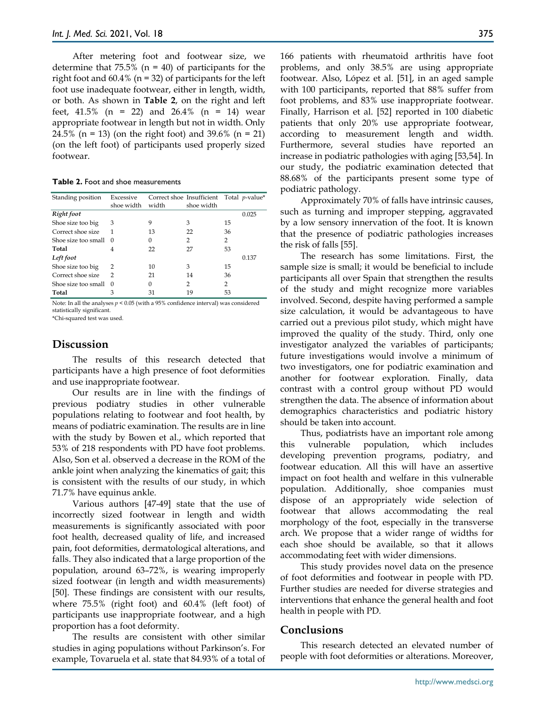After metering foot and footwear size, we determine that  $75.5\%$  (n = 40) of participants for the right foot and  $60.4\%$  (n = 32) of participants for the left foot use inadequate footwear, either in length, width, or both. As shown in **Table 2**, on the right and left feet, 41.5% (n = 22) and 26.4% (n = 14) wear appropriate footwear in length but not in width. Only 24.5% (n = 13) (on the right foot) and 39.6% (n = 21) (on the left foot) of participants used properly sized footwear.

**Table 2.** Foot and shoe measurements

| Standing position   | Excessive<br>shoe width | width | Correct shoe Insufficient Total p-value*<br>shoe width |                |       |
|---------------------|-------------------------|-------|--------------------------------------------------------|----------------|-------|
| Right foot          |                         |       |                                                        |                | 0.025 |
| Shoe size too big   | 3                       | 9     | 3                                                      | 15             |       |
| Correct shoe size   | 1                       | 13    | 22                                                     | 36             |       |
| Shoe size too small | $\Omega$                | 0     | 2                                                      | 2              |       |
| Total               | 4                       | 22    | 27                                                     | 53             |       |
| Left foot           |                         |       |                                                        |                | 0.137 |
| Shoe size too big   | 2                       | 10    | 3                                                      | 15             |       |
| Correct shoe size   | 2                       | 21    | 14                                                     | 36             |       |
| Shoe size too small | $\Omega$                | 0     | 2                                                      | $\overline{2}$ |       |
| Total               | 3                       | 31    | 19                                                     | 53             |       |

Note: In all the analyses *p* < 0.05 (with a 95% confidence interval) was considered statistically significant.

\*Chi-squared test was used.

## **Discussion**

The results of this research detected that participants have a high presence of foot deformities and use inappropriate footwear.

Our results are in line with the findings of previous podiatry studies in other vulnerable populations relating to footwear and foot health, by means of podiatric examination. The results are in line with the study by Bowen et al., which reported that 53% of 218 respondents with PD have foot problems. Also, Son et al. observed a decrease in the ROM of the ankle joint when analyzing the kinematics of gait; this is consistent with the results of our study, in which 71.7% have equinus ankle.

Various authors [47-49] state that the use of incorrectly sized footwear in length and width measurements is significantly associated with poor foot health, decreased quality of life, and increased pain, foot deformities, dermatological alterations, and falls. They also indicated that a large proportion of the population, around 63–72%, is wearing improperly sized footwear (in length and width measurements) [50]. These findings are consistent with our results, where 75.5% (right foot) and 60.4% (left foot) of participants use inappropriate footwear, and a high proportion has a foot deformity.

The results are consistent with other similar studies in aging populations without Parkinson's. For example, Tovaruela et al. state that 84.93% of a total of 166 patients with rheumatoid arthritis have foot problems, and only 38.5% are using appropriate footwear. Also, López et al. [51], in an aged sample with 100 participants, reported that 88% suffer from foot problems, and 83% use inappropriate footwear. Finally, Harrison et al. [52] reported in 100 diabetic patients that only 20% use appropriate footwear, according to measurement length and width. Furthermore, several studies have reported an increase in podiatric pathologies with aging [53,54]. In our study, the podiatric examination detected that 88.68% of the participants present some type of podiatric pathology.

Approximately 70% of falls have intrinsic causes, such as turning and improper stepping, aggravated by a low sensory innervation of the foot. It is known that the presence of podiatric pathologies increases the risk of falls [55].

The research has some limitations. First, the sample size is small; it would be beneficial to include participants all over Spain that strengthen the results of the study and might recognize more variables involved. Second, despite having performed a sample size calculation, it would be advantageous to have carried out a previous pilot study, which might have improved the quality of the study. Third, only one investigator analyzed the variables of participants; future investigations would involve a minimum of two investigators, one for podiatric examination and another for footwear exploration. Finally, data contrast with a control group without PD would strengthen the data. The absence of information about demographics characteristics and podiatric history should be taken into account.

Thus, podiatrists have an important role among this vulnerable population, which includes developing prevention programs, podiatry, and footwear education. All this will have an assertive impact on foot health and welfare in this vulnerable population. Additionally, shoe companies must dispose of an appropriately wide selection of footwear that allows accommodating the real morphology of the foot, especially in the transverse arch. We propose that a wider range of widths for each shoe should be available, so that it allows accommodating feet with wider dimensions.

This study provides novel data on the presence of foot deformities and footwear in people with PD. Further studies are needed for diverse strategies and interventions that enhance the general health and foot health in people with PD.

#### **Conclusions**

This research detected an elevated number of people with foot deformities or alterations. Moreover,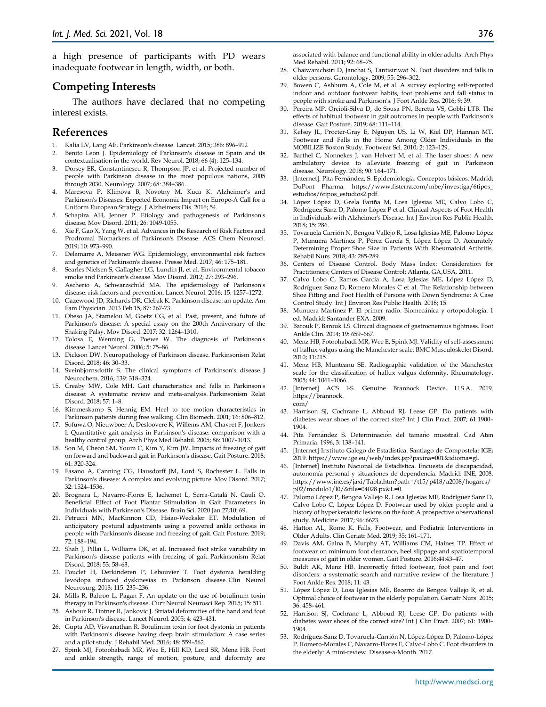a high presence of participants with PD wears inadequate footwear in length, width, or both.

## **Competing Interests**

The authors have declared that no competing interest exists.

#### **References**

- 1. Kalia LV, Lang AE. Parkinson's disease. Lancet. 2015; 386: 896–912
- 2. Benito Leon J. Epidemiology of Parkinson's disease in Spain and its contextualisation in the world. Rev Neurol. 2018; 66 (4): 125–134.
- 3. Dorsey ER, Constantinescu R, Thompson JP, et al. Projected number of people with Parkinson disease in the most populous nations, 2005 through 2030. Neurology. 2007; 68: 384–386.
- 4. Maresova P, Klimova B, Novotny M, Kuca K. Alzheimer's and Parkinson's Diseases: Expected Economic Impact on Europe-A Call for a Uniform European Strategy. J Alzheimers Dis. 2016; 54.
- 5. Schapira AH, Jenner P. Etiology and pathogenesis of Parkinson's disease. Mov Disord. 2011; 26: 1049-1055.
- Xie F, Gao X, Yang W, et al. Advances in the Research of Risk Factors and Prodromal Biomarkers of Parkinson's Disease. ACS Chem Neurosci. 2019; 10: 973–990.
- 7. Delamarre A, Meissner WG. Epidemiology, environmental risk factors and genetics of Parkinson's disease. Presse Med. 2017; 46: 175–181.
- 8. Searles Nielsen S, Gallagher LG, Lundin JI, et al. Environmental tobacco smoke and Parkinson's disease. Mov Disord. 2012; 27: 293–296.
- 9. Ascherio A, Schwarzschild MA. The epidemiology of Parkinson's disease: risk factors and prevention. Lancet Neurol. 2016; 15: 1257–1272.
- 10. Gazewood JD, Richards DR, Clebak K. Parkinson disease: an update. Am Fam Physician. 2013 Feb 15; 87: 267-73.
- 11. Obeso JA, Stamelou M, Goetz CG, et al. Past, present, and future of Parkinson's disease: A special essay on the 200th Anniversary of the Shaking Palsy. Mov Disord. 2017; 32: 1264–1310.
- 12. Tolosa E, Wenning G, Poewe W. The diagnosis of Parkinson's disease. Lancet Neurol. 2006; 5: 75–86.
- 13. Dickson DW. Neuropathology of Parkinson disease. Parkinsonism Relat Disord. 2018; 46: 30–33.
- 14. Sveinbjornsdottir S. The clinical symptoms of Parkinson's disease. J Neurochem. 2016; 139: 318–324.
- 15. Creaby MW, Cole MH. Gait characteristics and falls in Parkinson's disease: A systematic review and meta-analysis. Parkinsonism Relat Disord. 2018; 57: 1–8.
- Kimmeskamp S, Hennig EM. Heel to toe motion characteristics in Parkinson patients during free walking. Clin Biomech. 2001; 16: 806–812.
- 17. Sofuwa O, Nieuwboer A, Desloovere K, Willems AM, Chavret F, Jonkers I. Quantitative gait analysis in Parkinson's disease: comparison with a healthy control group. Arch Phys Med Rehabil. 2005; 86: 1007–1013.
- 18. Son M, Cheon SM, Youm C, Kim Y, Kim JW. Impacts of freezing of gait on forward and backward gait in Parkinson's disease. Gait Posture. 2018; 61: 320-324.
- 19. Fasano A, Canning CG, Hausdorff JM, Lord S, Rochester L. Falls in Parkinson's disease: A complex and evolving picture. Mov Disord. 2017; 32: 1524–1536.
- 20. Brognara L, Navarro-Flores E, Iachemet L, Serra-Catalá N, Cauli O. Beneficial Effect of Foot Plantar Stimulation in Gait Parameters in Individuals with Parkinson's Disease. Brain Sci. 2020 Jan 27;10: 69.
- 21. Petrucci MN, MacKinnon CD, Hsiao-Wecksler ET. Modulation of anticipatory postural adjustments using a powered ankle orthosis in people with Parkinson's disease and freezing of gait. Gait Posture. 2019; 72: 188–194.
- 22. Shah J, Pillai L, Williams DK, et al. Increased foot strike variability in Parkinson's disease patients with freezing of gait. Parkinsonism Relat Disord. 2018; 53: 58–63.
- 23. Pouclet H, Derkinderen P, Lebouvier T. Foot dystonia heralding levodopa induced dyskinesias in Parkinson disease. Clin Neurol Neurosurg. 2013; 115: 235–236.
- 24. Mills R, Bahroo L, Pagan F. An update on the use of botulinum toxin therapy in Parkinson's disease. Curr Neurol Neurosci Rep. 2015; 15: 511.
- 25. Ashour R, Tintner R, Jankovic J. Striatal deformities of the hand and foot in Parkinson's disease. Lancet Neurol. 2005; 4: 423–431.
- 26. Gupta AD, Visvanathan R. Botulinum toxin for foot dystonia in patients with Parkinson's disease having deep brain stimulation: A case series and a pilot study. J Rehabil Med. 2016; 48: 559–562.
- 27. Spink MJ, Fotoohabadi MR, Wee E, Hill KD, Lord SR, Menz HB. Foot and ankle strength, range of motion, posture, and deformity are

associated with balance and functional ability in older adults. Arch Phys Med Rehabil. 2011; 92: 68–75.

- 28. Chaiwanichsiri D, Janchai S, Tantisiriwat N. Foot disorders and falls in older persons. Gerontology. 2009; 55: 296–302.
- 29. Bowen C, Ashburn A, Cole M, et al. A survey exploring self-reported indoor and outdoor footwear habits, foot problems and fall status in people with stroke and Parkinson's. J Foot Ankle Res. 2016; 9: 39.
- 30. Pereira MP, Orcioli-Silva D, de Sousa PN, Beretta VS, Gobbi LTB. The effects of habitual footwear in gait outcomes in people with Parkinson's disease. Gait Posture. 2019; 68: 111–114.
- 31. Kelsey JL, Procter-Gray E, Nguyen US, Li W, Kiel DP, Hannan MT. Footwear and Falls in the Home Among Older Individuals in the MOBILIZE Boston Study. Footwear Sci. 2010; 2: 123–129.
- 32. Barthel C, Nonnekes J, van Helvert M, et al. The laser shoes: A new ambulatory device to alleviate freezing of gait in Parkinson disease. Neurology. 2018; 90: 164–171.
- 33. [Internet]. Pita Fernández, S. Epidemiología. Conceptos básicos. Madrid; DuPont Pharma. https://www.fisterra.com/mbe/investiga/6tipos\_ estudios/6tipos\_estudios2.pdf.
- 34. López López D, Grela Fariña M, Losa Iglesias ME, Calvo Lobo C, Rodríguez Sanz D, Palomo López P et al. Clinical Aspects of Foot Health in Individuals with Alzheimer's Disease. Int J Environ Res Public Health. 2018; 15: 286.
- 35. Tovaruela Carrión N, Bengoa Vallejo R, Losa Iglesias ME, Palomo López P, Munuera Martínez P, Pérez García S, López López D. Accurately Determining Proper Shoe Size in Patients With Rheumatoid Arthritis. Rehabil Nurs. 2018; 43: 285-289.
- 36. Centers of Disease Control. Body Mass Index: Consideration for Practitioners; Centers of Disease Control: Atlanta, GA,USA, 2011.
- 37. Calvo Lobo C, Ramos García A, Losa Iglesias ME, López López D, Rodríguez Sanz D, Romero Morales C et al. The Relationship between Shoe Fitting and Foot Health of Persons with Down Syndrome: A Case Control Study. Int J Environ Res Public Health. 2018; 15.
- 38. Munuera Martínez P. El primer radio. Biomecánica y ortopodología. 1 ed. Madrid: Santander EXA. 2009.
- 39. Barouk P, Barouk LS. Clinical diagnosis of gastrocnemius tightness. Foot Ankle Clin. 2014; 19: 659–667.
- 40. Menz HB, Fotoohabadi MR, Wee E, Spink MJ. Validity of self-assessment of hallux valgus using the Manchester scale. BMC Musculoskelet Disord. 2010; 11:215.
- 41. Menz HB, Munteanu SE. Radiographic validation of the Manchester scale for the classification of hallux valgus deformity. Rheumatology. 2005; 44: 1061–1066.
- 42. [Internet] ACS I-S. Genuine Brannock Device. U.S.A. 2019. https://brannock. com/
- 43. Harrison SJ, Cochrane L, Abboud RJ, Leese GP. Do patients with diabetes wear shoes of the correct size? Int J Clin Pract. 2007; 61:1900– 1904.
- 44. Pita Fernández S. Determinación del tamaño muestral. Cad Aten Primaria. 1996, 3: 138–141.
- 45. [Internet] Instituto Galego de Estadística. Santiago de Compostela: IGE; 2019. https://www.ige.eu/web/index.jsp?paxina=001&idioma=gl.
- 46. [Internet] Instituto Nacional de Estadística. Encuesta de discapacidad, autonomía personal y situaciones de dependencia. Madrid: INE; 2008. https://www.ine.es/jaxi/Tabla.htm?path=/t15/p418/a2008/hogares/ p02/modulo1/l0/&file=04028.px&L=0.
- 47. Palomo López P, Bengoa Vallejo R, Losa Iglesias ME, Rodríguez Sanz D, Calvo Lobo C, López López D. Footwear used by older people and a history of hyperkeratotic lesions on the foot: A prospective observational study. Medicine. 2017; 96: 6623.
- 48. Hatton AL, Rome K. Falls, Footwear, and Podiatric Interventions in Older Adults. Clin Geriatr Med. 2019; 35: 161–171.
- 49. Davis AM, Galna B, Murphy AT, Williams CM, Haines TP. Effect of footwear on minimum foot clearance, heel slippage and spatiotemporal measures of gait in older women. Gait Posture. 2016;44:43–47.
- 50. Buldt AK, Menz HB. Incorrectly fitted footwear, foot pain and foot disorders: a systematic search and narrative review of the literature. J Foot Ankle Res. 2018; 11: 43.
- 51. López López D, Losa Iglesias ME, Becerro de Bengoa Vallejo R, et al. Optimal choice of footwear in the elderly population. Geriatr Nurs. 2015; 36: 458–461.
- 52. Harrison SJ, Cochrane L, Abboud RJ, Leese GP. Do patients with diabetes wear shoes of the correct size? Int J Clin Pract. 2007; 61: 1900– 1904.
- 53. Rodríguez-Sanz D, Tovaruela-Carrión N, López-López D, Palomo-López P. Romero-Morales C, Navarro-Flores E, Calvo-Lobo C. Foot disorders in the elderly: A mini-review. Disease-a-Month. 2017.